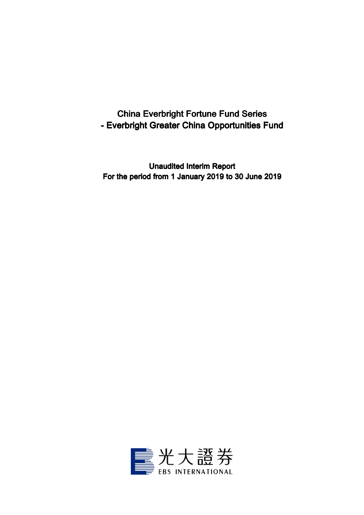# China Everbright Fortune Fund Series - Everbright Greater China Opportunities Fund

Unaudited Interim Report For the period from 1 January 2019 to 30 June 2019

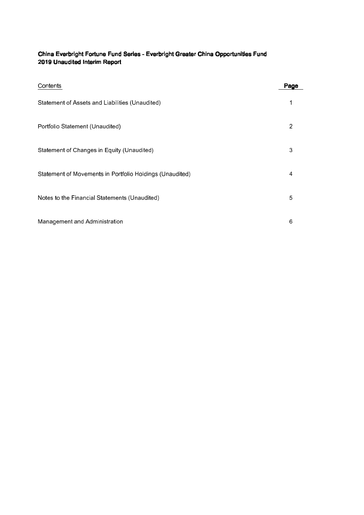# China Everbright Fortune Fund Series - Everbright Greater China Opportunities Fund 2019 Unaudited Interim Report

| Contents                                                 | Page |
|----------------------------------------------------------|------|
| Statement of Assets and Liabilities (Unaudited)          |      |
| Portfolio Statement (Unaudited)                          | 2    |
| Statement of Changes in Equity (Unaudited)               | 3    |
| Statement of Movements in Portfolio Holdings (Unaudited) | 4    |
| Notes to the Financial Statements (Unaudited)            | 5    |
| Management and Administration                            | 6    |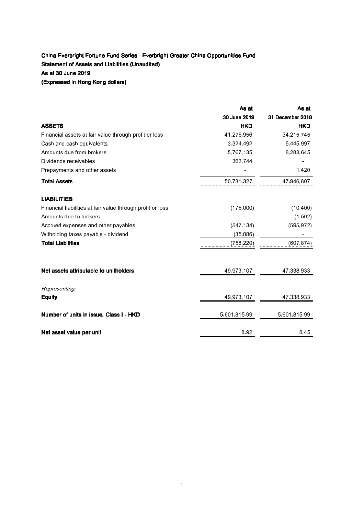## China Everbright Fortune Fund Series - Everbright Greater China Opportunities Fund Statement of Assets and Liabilities (Unaudited) As at 30 June 2019 (Expressed in Hong Kong dollars)

As at As at at As at 30 June 2019 31 December 2018 30 2019 31 December 2018 ASSETS HKD HKD HKD Financial assets at fair value through profit or loss 41,276,956 34,215,745 Cash and cash equivalents **5,445,997** 3,324,492 5,445,997 Amounts due from brokers and the state of the state of the state of the state of the state of the state of the state of the state of the state of the state of the state of the state of the state of the state of the state o Dividends receivables and the set of the set of the 362,744 contract of the set of the set of the set of the set of the set of the set of the set of the set of the set of the set of the set of the set of the set of the set Prepayments and other assets 1,420  $\sim$  1,420 **Total Assets** 47,946,807 LIABILITIES Financial liabilities at fair value through profit or loss (176,000) (10,400) Amounts due to brokers and the control of the control of the control of the control of the control of the control of the control of the control of the control of the control of the control of the control of the control of Accrued expenses and other payables (547,134) (595,972) Witholding taxes payable - dividend  $(35,086)$ Total Liabilities (758,220) (607,874) Net assets attributable to unitholders and the set of the 49,973,107 47,338,933 Representing: **Equity 47,338,933 49,973,107 47,338,933 Number of units in issue, Class I - HKD** 5,601,815.99 5,601,815.99 Net asset value per unit 8.92 8.45

1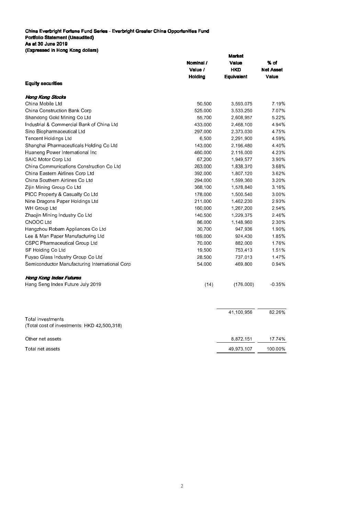China Everbright Fortune Fund Series - Everbright Greater China Opportunities Fund Portfolio Statement (Unaudited) As at 30 June 2019 (Expressed in Hong Kong dollars)

|                                                |                    | <b>Market</b>     |                  |  |
|------------------------------------------------|--------------------|-------------------|------------------|--|
|                                                | Nominal /<br>Value |                   | % of             |  |
|                                                | Value /            | <b>HKD</b>        | <b>Net Asset</b> |  |
|                                                | <b>Holding</b>     | <b>Equivalent</b> | Value            |  |
| <b>Equity securities</b>                       |                    |                   |                  |  |
| Hong Kong Stocks                               |                    |                   |                  |  |
| China Mobile Ltd                               | 50,500             | 3,593,075         | 7.19%            |  |
| China Construction Bank Corp                   | 525,000            | 3,533,250         | 7.07%            |  |
| Shandong Gold Mining Co Ltd                    | 55,700             | 2,608,957         | 5.22%            |  |
| Industrial & Commercial Bank of China Ltd      | 433,000            | 2,468,100         | 4.94%            |  |
| Sino Biopharmaceutical Ltd                     | 297,000            | 2,373,030         | 4.75%            |  |
| Tencent Holdings Ltd                           | 6,500              | 2,291,900         | 4.59%            |  |
| Shanghai Pharmaceuticals Holding Co Ltd        | 143,000            | 2,196,480         | 4.40%            |  |
| Huaneng Power International Inc                | 460,000            | 2,116,000         | 4.23%            |  |
| SAIC Motor Corp Ltd                            | 67,200             | 1,949,577         | 3.90%            |  |
| China Communications Construction Co Ltd       | 263,000            | 1,838,370         | 3.68%            |  |
| China Eastern Airlines Corp Ltd                | 392,000            | 1,807,120         | 3.62%            |  |
| China Southern Airlines Co Ltd                 | 294,000            | 1,599,360         | 3.20%            |  |
| Zijin Mining Group Co Ltd                      | 368,100            | 1,578,840         | 3.16%            |  |
| PICC Property & Casualty Co Ltd                | 178,000            | 1,500,540         | 3.00%            |  |
| Nine Dragons Paper Holdings Ltd                | 211,000            | 1,462,230         | 2.93%            |  |
| WH Group Ltd                                   | 160,000            | 1,267,200         | 2.54%            |  |
| Zhaojin Mining Industry Co Ltd                 | 140,500            | 1,229,375         | 2.46%            |  |
| <b>CNOOC Ltd</b>                               | 86,000             | 1,148,960         | 2.30%            |  |
| Hangzhou Robam Appliances Co Ltd               | 30,700             | 947,936           | 1.90%            |  |
| Lee & Man Paper Manufacturing Ltd              | 169,000            | 924,430           | 1.85%            |  |
| CSPC Pharmaceutical Group Ltd                  | 70,000             | 882,000           | 1.76%            |  |
| SF Holding Co Ltd                              | 19,500             | 753,413           | 1.51%            |  |
| Fuyao Glass Industry Group Co Ltd              | 28,500             | 737,013           | 147%             |  |
| Semiconductor Manufacturing International Corp | 54,000             | 469,800           | 0.94%            |  |
| <b>Hong Kong Index Futures</b>                 |                    |                   |                  |  |
| Hang Seng Index Future July 2019               | (14)               | (176,000)         | $-0.35%$         |  |
|                                                |                    |                   |                  |  |
| Total investments                              |                    | 41,100,956        | 82 26%           |  |
| (Total cost of investments: HKD 42,500,318)    |                    |                   |                  |  |
| Other net assets                               |                    | 8 872 151         | 17 74 %          |  |

Total net assets 100.00%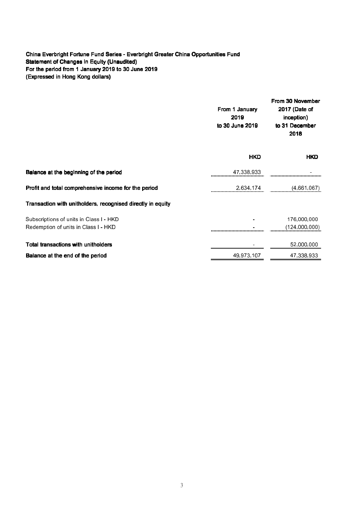#### China Everbright Fortune Fund Series - Everbright Greater China Opportunities Fund Statement of Changes in Equity (Unaudited) For the period from 1 January 2019 to 30 June 2019 (Expressed in Hong Kong dollars)

|                                                                                 | From 1 January<br>2019<br>to 30 June 2019 | From 30 November<br>2017 (Date of<br>inception)<br>to 31 December<br>2018 |  |
|---------------------------------------------------------------------------------|-------------------------------------------|---------------------------------------------------------------------------|--|
|                                                                                 | <b>HKD</b>                                | <b>HKD</b>                                                                |  |
| Balance at the beginning of the period                                          | 47,338,933                                |                                                                           |  |
| Profit and total comprehensive income for the period                            | 2,634,174                                 | (4,661,067)                                                               |  |
| Transaction with unitholders, recognised directly in equity                     |                                           |                                                                           |  |
| Subscriptions of units in Class I - HKD<br>Redemption of units in Class I - HKD |                                           | 176,000,000<br>(124,000,000)                                              |  |
| Total transactions with unitholders                                             |                                           | 52,000,000                                                                |  |
| Balance at the end of the period                                                | 49,973,107                                | 47,338,933                                                                |  |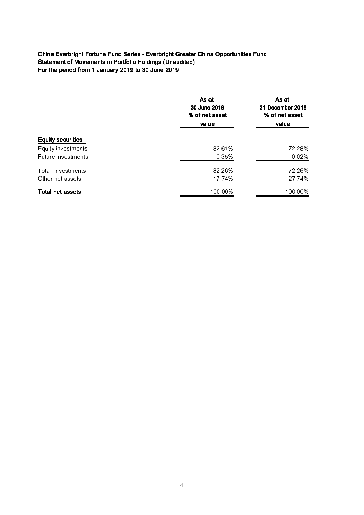## China Everbright Fortune Fund Series - Everbright Greater China Opportunities Fund Statement of Movements in Portfolio Holdings (Unaudited) For the period from 1 January 2019 to 30 June 2019

|                          | As at<br>30 June 2019<br>% of net asset<br>value | As at<br>31 December 2018<br>% of net asset<br>value |
|--------------------------|--------------------------------------------------|------------------------------------------------------|
| <b>Equity securities</b> |                                                  |                                                      |
|                          |                                                  |                                                      |
| Equity investments       | 82.61%                                           | 72.28%                                               |
| Future investments       | $-0.35%$                                         | $-0.02%$                                             |
| Total investments        | 82.26%                                           | 72.26%                                               |
| Other net assets         | 17.74%                                           | 27 74%                                               |
| <b>Total net assets</b>  | 100.00%                                          | 100.00%                                              |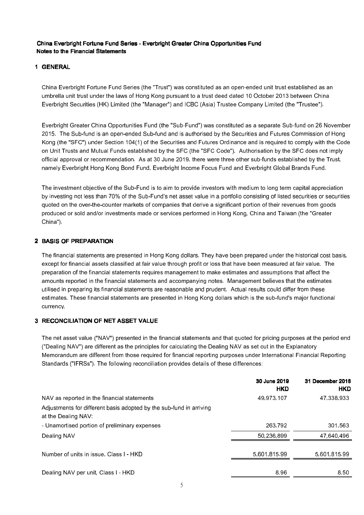#### China Everbright Fortune Fund Series - Everbright Greater China Opportunities Fund Notes to the Financial Statements

#### 1 GENERAL

China Everbright Fortune Fund Series (the "Trust") was constituted as an open-ended unit trust established as an umbrella unit trust under the laws of Hong Kong pursuant to a trust deed dated 10 October 2013 between China Everbright Securities (HK) Limited (the "Manager") and ICBC (Asia) Trustee Company Limited (the "Trustee").

Everbright Greater China Opportunities Fund (the "Sub-Fund") was constituted as a separate Sub-fund on 26 November 2015. The Sub-fund is an open-ended Sub-fund and is authorised by the Securities and Futures Commission of Hong Kong (the "SFC") under Section 104(1) of the Securities and Futures Ordinance and is required to comply with the Code on Unit Trusts and Mutual Funds established by the SFC (the "SFC Code"). Authorisation by the SFC does not imply official approval or recommendation. As at 30 June 2019, there were three other sub-funds established by the Trust, namely Everbright Hong Kong Bond Fund, Everbright Income Focus Fund and Everbright Global Brands Fund.

The investment objective of the Sub-Fund is to aim to provide investors with medium to long term capital appreciation by investing not less than 70% of the Sub-Fund's net asset value in a portfolio consisting of listed securities or securities quoted on the over-the-counter markets of companies that derive a significant portion of their revenues from goods produced or sold and/or investments made or services performed in Hong Kong, China and Taiwan (the "Greater China").

#### 2 BASIS OF PREPARATION

The financial statements are presented in Hong Kong dollars. They have been prepared under the historical cost basis, except for financial assets classified at fair value through profit or loss that have been measured at fair value. The preparation of the financial statements requires management to make estimates and assumptions that affect the amounts reported in the financial statements and accompanying notes. Management believes that the estimates utilised in preparing its financial statements are reasonable and prudent. Actual results could differ from these estimates. These financial statements are presented in Hong Kong dollars which is the sub-fund's major functional currency.

## 3 RECONCILIATION OF NET ASSET VALUE

The net asset value ("NAV") presented in the financial statements and that quoted for pricing purposes at the period end ("Dealing NAV") are different as the principles for calculating the Dealing NAV as set out in the Explanatory Memorandum are different from those required for financial reporting purposes under International Financial Reporting Standards ("IFRSs"). The following reconciliation provides details of these differences:

|                                                                                            | 30 June 2019<br><b>HKD</b> | 31 December 2018<br><b>HKD</b> |
|--------------------------------------------------------------------------------------------|----------------------------|--------------------------------|
| NAV as reported in the financial statements                                                | 49,973,107                 | 47,338,933                     |
| Adjustments for different basis adopted by the sub-fund in arriving<br>at the Dealing NAV: |                            |                                |
| - Unamortised portion of preliminary expenses                                              | 263792                     | 301,563                        |
| Dealing NAV                                                                                | 50 236 899                 | 47 640 496                     |
| Number of units in issue, Class I - HKD                                                    | 5 601 815 99               | 5 601 815 99                   |
|                                                                                            |                            |                                |
| Dealing NAV per unit, Class I - HKD                                                        | 896                        | 8.50                           |